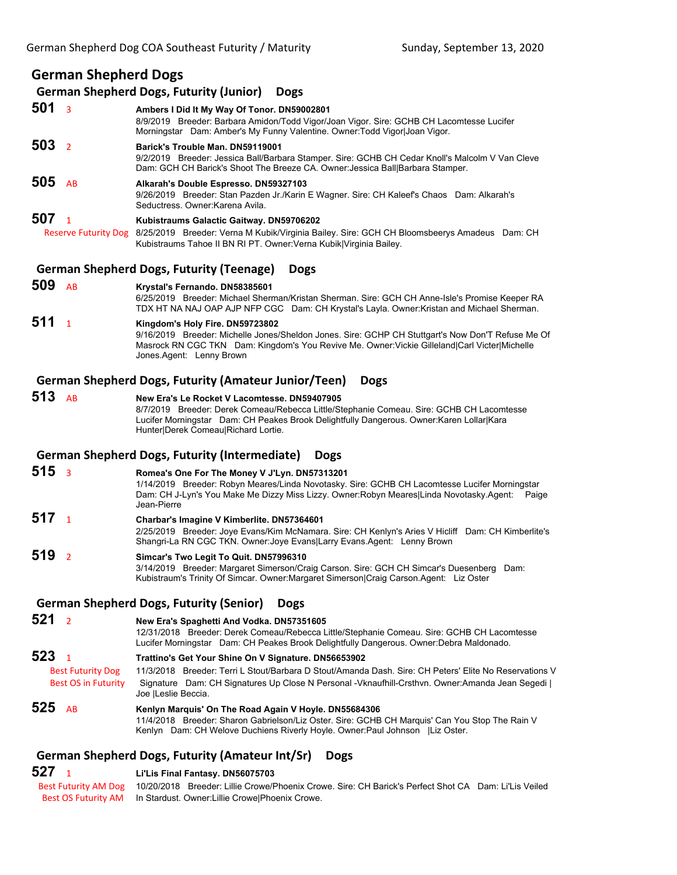# **German Shepherd Dogs**

#### **German Shepherd Dogs, Futurity (Junior) Dogs**

**501** <sup>3</sup> **Ambers I Did It My Way Of Tonor. DN59002801** 8/9/2019 Breeder: Barbara Amidon/Todd Vigor/Joan Vigor. Sire: GCHB CH Lacomtesse Lucifer Morningstar Dam: Amber's My Funny Valentine. Owner:Todd Vigor|Joan Vigor. **503** <sup>2</sup> **Barick's Trouble Man. DN59119001** 9/2/2019 Breeder: Jessica Ball/Barbara Stamper. Sire: GCHB CH Cedar Knoll's Malcolm V Van Cleve Dam: GCH CH Barick's Shoot The Breeze CA. Owner:Jessica Ball|Barbara Stamper. **505** AB **Alkarah's Double Espresso. DN59327103** 9/26/2019 Breeder: Stan Pazden Jr./Karin E Wagner. Sire: CH Kaleef's Chaos Dam: Alkarah's Seductress. Owner:Karena Avila. **507** <sup>1</sup> **Kubistraums Galactic Gaitway. DN59706202** Reserve Futurity Dog 8/25/2019 Breeder: Verna M Kubik/Virginia Bailey. Sire: GCH CH Bloomsbeerys Amadeus Dam: CH Kubistraums Tahoe II BN RI PT. Owner:Verna Kubik|Virginia Bailey.

## **German Shepherd Dogs, Futurity (Teenage) Dogs**

**509** AB **Krystal's Fernando. DN58385601** 6/25/2019 Breeder: Michael Sherman/Kristan Sherman. Sire: GCH CH Anne-Isle's Promise Keeper RA TDX HT NA NAJ OAP AJP NFP CGC Dam: CH Krystal's Layla. Owner:Kristan and Michael Sherman. **511** <sup>1</sup> **Kingdom's Holy Fire. DN59723802** 9/16/2019 Breeder: Michelle Jones/Sheldon Jones. Sire: GCHP CH Stuttgart's Now Don'T Refuse Me Of Masrock RN CGC TKN Dam: Kingdom's You Revive Me. Owner:Vickie Gilleland|Carl Victer|Michelle Jones.Agent: Lenny Brown

## **German Shepherd Dogs, Futurity (Amateur Junior/Teen) Dogs**

**513** AB **New Era's Le Rocket V Lacomtesse. DN59407905** 8/7/2019 Breeder: Derek Comeau/Rebecca Little/Stephanie Comeau. Sire: GCHB CH Lacomtesse Lucifer Morningstar Dam: CH Peakes Brook Delightfully Dangerous. Owner:Karen Lollar|Kara Hunter|Derek Comeau|Richard Lortie.

#### **German Shepherd Dogs, Futurity (Intermediate) Dogs**

- **515** <sup>3</sup> **Romea's One For The Money V J'Lyn. DN57313201** 1/14/2019 Breeder: Robyn Meares/Linda Novotasky. Sire: GCHB CH Lacomtesse Lucifer Morningstar Dam: CH J-Lyn's You Make Me Dizzy Miss Lizzy. Owner:Robyn Meares|Linda Novotasky.Agent: Paige Jean-Pierre
- **517** <sup>1</sup> **Charbar's Imagine V Kimberlite. DN57364601** 2/25/2019 Breeder: Joye Evans/Kim McNamara. Sire: CH Kenlyn's Aries V Hicliff Dam: CH Kimberlite's Shangri-La RN CGC TKN. Owner:Joye Evans|Larry Evans.Agent: Lenny Brown
- **519** <sup>2</sup> **Simcar's Two Legit To Quit. DN57996310** 3/14/2019 Breeder: Margaret Simerson/Craig Carson. Sire: GCH CH Simcar's Duesenberg Dam: Kubistraum's Trinity Of Simcar. Owner:Margaret Simerson|Craig Carson.Agent: Liz Oster
- **German Shepherd Dogs, Futurity (Senior) Dogs**

## **521** <sup>2</sup> **New Era's Spaghetti And Vodka. DN57351605**

12/31/2018 Breeder: Derek Comeau/Rebecca Little/Stephanie Comeau. Sire: GCHB CH Lacomtesse Lucifer Morningstar Dam: CH Peakes Brook Delightfully Dangerous. Owner:Debra Maldonado.

**523** <sup>1</sup> **Trattino's Get Your Shine On V Signature. DN56653902** Best Futurity Dog 11/3/2018 Breeder: Terri L Stout/Barbara D Stout/Amanda Dash. Sire: CH Peters' Elite No Reservations V Best OS in Futurity Signature Dam: CH Signatures Up Close N Personal -Vknaufhill-Crsthvn. Owner:Amanda Jean Segedi | Joe |Leslie Beccia.

**525** AB **Kenlyn Marquis' On The Road Again V Hoyle. DN55684306** 11/4/2018 Breeder: Sharon Gabrielson/Liz Oster. Sire: GCHB CH Marquis' Can You Stop The Rain V Kenlyn Dam: CH Welove Duchiens Riverly Hoyle. Owner:Paul Johnson |Liz Oster.

## **German Shepherd Dogs, Futurity (Amateur Int/Sr) Dogs**

## **527** <sup>1</sup> **Li'Lis Final Fantasy. DN56075703**

 Best Futurity AM Dog 10/20/2018 Breeder: Lillie Crowe/Phoenix Crowe. Sire: CH Barick's Perfect Shot CA Dam: Li'Lis Veiled Best OS Futurity AM In Stardust. Owner: Lillie Crowe|Phoenix Crowe.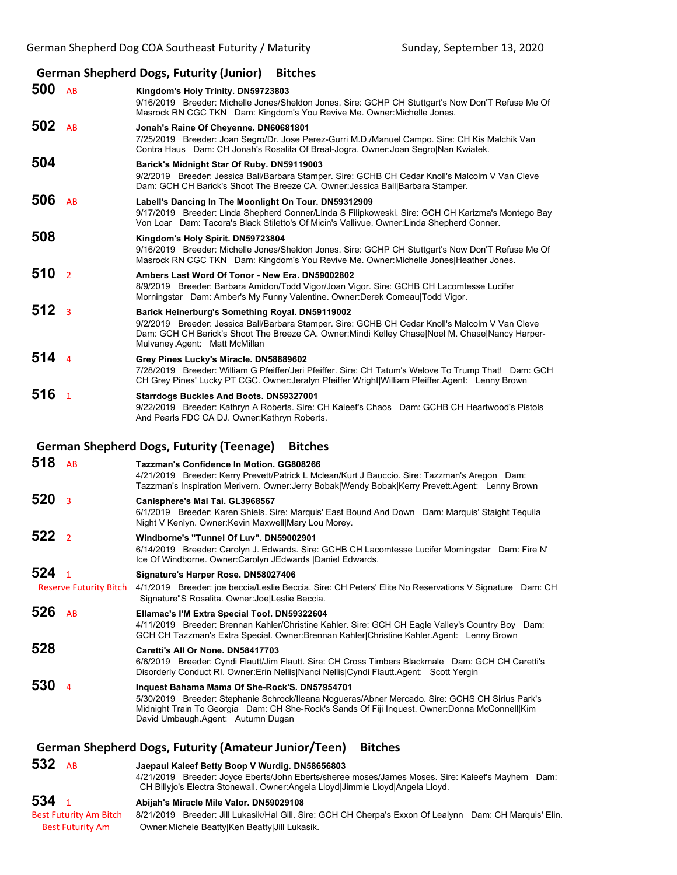# **German Shepherd Dogs, Futurity (Junior) Bitches**

| 500 AB           |                               | Kingdom's Holy Trinity. DN59723803<br>9/16/2019 Breeder: Michelle Jones/Sheldon Jones. Sire: GCHP CH Stuttgart's Now Don'T Refuse Me Of<br>Masrock RN CGC TKN Dam: Kingdom's You Revive Me. Owner: Michelle Jones.                                                                      |
|------------------|-------------------------------|-----------------------------------------------------------------------------------------------------------------------------------------------------------------------------------------------------------------------------------------------------------------------------------------|
| 502 $AB$         |                               | Jonah's Raine Of Cheyenne. DN60681801<br>7/25/2019 Breeder: Joan Segro/Dr. Jose Perez-Gurri M.D./Manuel Campo. Sire: CH Kis Malchik Van<br>Contra Haus Dam: CH Jonah's Rosalita Of Breal-Jogra. Owner: Joan Segro Nan Kwiatek.                                                          |
| 504              |                               | Barick's Midnight Star Of Ruby. DN59119003<br>9/2/2019 Breeder: Jessica Ball/Barbara Stamper. Sire: GCHB CH Cedar Knoll's Malcolm V Van Cleve<br>Dam: GCH CH Barick's Shoot The Breeze CA. Owner: Jessica Ball Barbara Stamper.                                                         |
| 506              | AB                            | Labell's Dancing In The Moonlight On Tour. DN59312909<br>9/17/2019 Breeder: Linda Shepherd Conner/Linda S Filipkoweski. Sire: GCH CH Karizma's Montego Bay<br>Von Loar Dam: Tacora's Black Stiletto's Of Micin's Vallivue. Owner: Linda Shepherd Conner.                                |
| 508              |                               | Kingdom's Holy Spirit. DN59723804<br>9/16/2019 Breeder: Michelle Jones/Sheldon Jones. Sire: GCHP CH Stuttgart's Now Don'T Refuse Me Of<br>Masrock RN CGC TKN Dam: Kingdom's You Revive Me. Owner: Michelle Jones Heather Jones.                                                         |
| 510              | $\overline{2}$                | Ambers Last Word Of Tonor - New Era, DN59002802<br>8/9/2019 Breeder: Barbara Amidon/Todd Vigor/Joan Vigor. Sire: GCHB CH Lacomtesse Lucifer<br>Morningstar Dam: Amber's My Funny Valentine. Owner:Derek Comeau Todd Vigor.                                                              |
| 512 <sub>3</sub> |                               | Barick Heinerburg's Something Royal. DN59119002<br>9/2/2019 Breeder: Jessica Ball/Barbara Stamper. Sire: GCHB CH Cedar Knoll's Malcolm V Van Cleve<br>Dam: GCH CH Barick's Shoot The Breeze CA. Owner: Mindi Kelley Chase Noel M. Chase Nancy Harper-<br>Mulvaney.Agent: Matt McMillan  |
| 514              | $\overline{4}$                | Grey Pines Lucky's Miracle. DN58889602<br>7/28/2019 Breeder: William G Pfeiffer/Jeri Pfeiffer. Sire: CH Tatum's Welove To Trump That! Dam: GCH<br>CH Grey Pines' Lucky PT CGC. Owner: Jeralyn Pfeiffer Wright   William Pfeiffer Agent: Lenny Brown                                     |
| 516              | $\mathbf{1}$                  | <b>Starrdogs Buckles And Boots. DN59327001</b><br>9/22/2019 Breeder: Kathryn A Roberts. Sire: CH Kaleef's Chaos Dam: GCHB CH Heartwood's Pistols<br>And Pearls FDC CA DJ. Owner: Kathryn Roberts.                                                                                       |
|                  |                               | <b>German Shepherd Dogs, Futurity (Teenage)</b><br><b>Bitches</b>                                                                                                                                                                                                                       |
| 518              | AB                            | Tazzman's Confidence In Motion. GG808266<br>4/21/2019 Breeder: Kerry Prevett/Patrick L Mclean/Kurt J Bauccio. Sire: Tazzman's Aregon Dam:<br>Tazzman's Inspiration Merivern. Owner: Jerry Bobak Wendy Bobak Kerry Prevett. Agent: Lenny Brown                                           |
| 520              | $\overline{\mathbf{3}}$       | Canisphere's Mai Tai. GL3968567<br>6/1/2019 Breeder: Karen Shiels. Sire: Marquis' East Bound And Down Dam: Marquis' Staight Tequila<br>Night V Kenlyn. Owner: Kevin Maxwell Mary Lou Morey.                                                                                             |
| 522 <sub>2</sub> |                               | Windborne's "Tunnel Of Luv", DN59002901<br>6/14/2019 Breeder: Carolyn J. Edwards. Sire: GCHB CH Lacomtesse Lucifer Morningstar Dam: Fire N'<br>Ice Of Windborne. Owner: Carolyn JEdwards   Daniel Edwards.                                                                              |
| 524 <sub>1</sub> | <b>Reserve Futurity Bitch</b> | Signature's Harper Rose. DN58027406<br>4/1/2019 Breeder: joe beccia/Leslie Beccia. Sire: CH Peters' Elite No Reservations V Signature Dam: CH<br>Signature"S Rosalita. Owner: Joe Leslie Beccia.                                                                                        |
| 526              | AB                            | Ellamac's I'M Extra Special Too!. DN59322604<br>4/11/2019 Breeder: Brennan Kahler/Christine Kahler. Sire: GCH CH Eagle Valley's Country Boy Dam:<br>GCH CH Tazzman's Extra Special. Owner: Brennan Kahler Christine Kahler.Agent: Lenny Brown                                           |
| 528              |                               | Caretti's All Or None. DN58417703<br>6/6/2019 Breeder: Cyndi Flautt/Jim Flautt. Sire: CH Cross Timbers Blackmale Dam: GCH CH Caretti's<br>Disorderly Conduct RI. Owner: Erin Nellis Nanci Nellis Cyndi Flautt. Agent: Scott Yergin                                                      |
| 530              | $\overline{4}$                | Inquest Bahama Mama Of She-Rock'S. DN57954701<br>5/30/2019 Breeder: Stephanie Schrock/Ileana Nogueras/Abner Mercado. Sire: GCHS CH Sirius Park's<br>Midnight Train To Georgia Dam: CH She-Rock's Sands Of Fiji Inquest. Owner: Donna McConnell Kim<br>David Umbaugh.Agent: Autumn Dugan |
|                  |                               |                                                                                                                                                                                                                                                                                         |

**German Shepherd Dogs, Futurity (Amateur Junior/Teen) Bitches**

**532** AB **Jaepaul Kaleef Betty Boop V Wurdig. DN58656803**

4/21/2019 Breeder: Joyce Eberts/John Eberts/sheree moses/James Moses. Sire: Kaleef's Mayhem Dam: CH Billyjo's Electra Stonewall. Owner:Angela Lloyd|Jimmie Lloyd|Angela Lloyd.

# **534** <sup>1</sup> **Abijah's Miracle Mile Valor. DN59029108**

Best Futurity Am Bitch 8/21/2019 Breeder: Jill Lukasik/Hal Gill. Sire: GCH CH Cherpa's Exxon Of Lealynn Dam: CH Marquis' Elin. Best Futurity Am Owner:Michele Beatty|Ken Beatty|Jill Lukasik.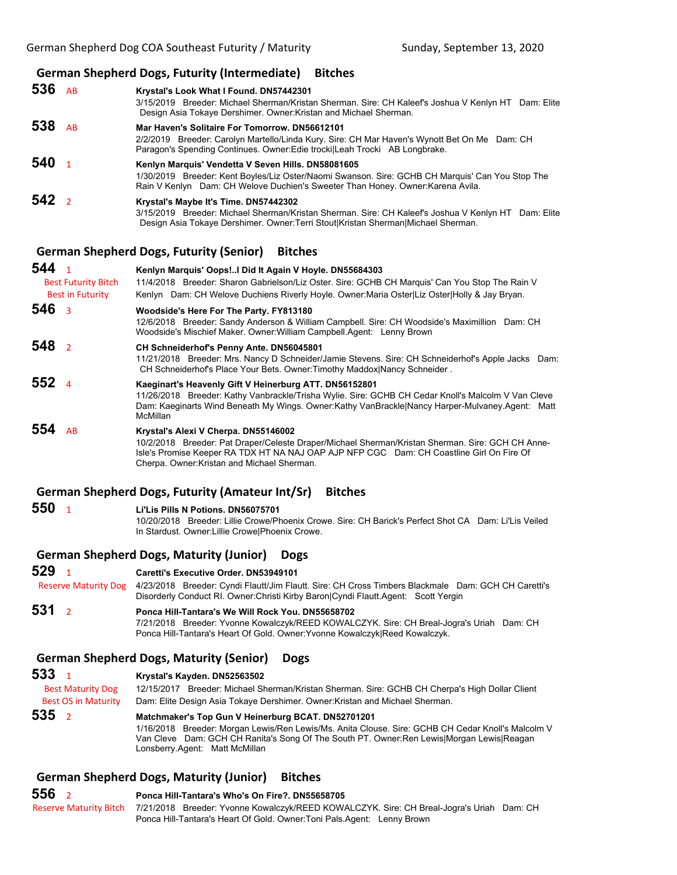## **German Shepherd Dogs, Futurity (Intermediate) Bitches**

**536** AB **Krystal's Look What I Found. DN57442301** 3/15/2019 Breeder: Michael Sherman/Kristan Sherman. Sire: CH Kaleef's Joshua V Kenlyn HT Dam: Elite Design Asia Tokaye Dershimer. Owner:Kristan and Michael Sherman. **538** AB **Mar Haven's Solitaire For Tomorrow. DN56612101** 2/2/2019 Breeder: Carolyn Martello/Linda Kury. Sire: CH Mar Haven's Wynott Bet On Me Dam: CH Paragon's Spending Continues. Owner:Edie trocki|Leah Trocki AB Longbrake. **540** <sup>1</sup> **Kenlyn Marquis' Vendetta V Seven Hills. DN58081605** 1/30/2019 Breeder: Kent Boyles/Liz Oster/Naomi Swanson. Sire: GCHB CH Marquis' Can You Stop The Rain V Kenlyn Dam: CH Welove Duchien's Sweeter Than Honey. Owner:Karena Avila. **542** <sup>2</sup> **Krystal's Maybe It's Time. DN57442302**

3/15/2019 Breeder: Michael Sherman/Kristan Sherman. Sire: CH Kaleef's Joshua V Kenlyn HT Dam: Elite Design Asia Tokaye Dershimer. Owner:Terri Stout|Kristan Sherman|Michael Sherman.

## **German Shepherd Dogs, Futurity (Senior) Bitches**

| 544<br><b>Best Futurity Bitch</b><br><b>Best in Futurity</b> | Kenlyn Marquis' Oops! I Did It Again V Hoyle. DN55684303<br>11/4/2018 Breeder: Sharon Gabrielson/Liz Oster. Sire: GCHB CH Marquis' Can You Stop The Rain V<br>Kenlyn Dam: CH Welove Duchiens Riverly Hoyle. Owner: Maria Oster Liz Oster Holly & Jay Bryan.                         |
|--------------------------------------------------------------|-------------------------------------------------------------------------------------------------------------------------------------------------------------------------------------------------------------------------------------------------------------------------------------|
| 546 <sub>3</sub>                                             | Woodside's Here For The Party. FY813180<br>12/6/2018 Breeder: Sandy Anderson & William Campbell. Sire: CH Woodside's Maximillion Dam: CH<br>Woodside's Mischief Maker. Owner: William Campbell Agent: Lenny Brown                                                                   |
| 548 <sub>2</sub>                                             | CH Schneiderhof's Penny Ante. DN56045801<br>11/21/2018 Breeder: Mrs. Nancy D Schneider/Jamie Stevens. Sire: CH Schneiderhof's Apple Jacks Dam:<br>CH Schneiderhof's Place Your Bets. Owner: Timothy Maddox Nancy Schneider.                                                         |
| 552 $4$                                                      | Kaeginart's Heavenly Gift V Heinerburg ATT. DN56152801<br>11/26/2018 Breeder: Kathy Vanbrackle/Trisha Wylie. Sire: GCHB CH Cedar Knoll's Malcolm V Van Cleve<br>Dam: Kaeginarts Wind Beneath My Wings. Owner:Kathy VanBrackle Nancy Harper-Mulvaney.Agent: Matt<br><b>McMillan</b>  |
| 554<br><b>AR</b>                                             | Krystal's Alexi V Cherpa. DN55146002<br>10/2/2018 Breeder: Pat Draper/Celeste Draper/Michael Sherman/Kristan Sherman, Sire: GCH CH Anne-<br>Isle's Promise Keeper RA TDX HT NA NAJ OAP AJP NFP CGC Dam: CH Coastline Girl On Fire Of<br>Cherpa. Owner: Kristan and Michael Sherman. |

#### **German Shepherd Dogs, Futurity (Amateur Int/Sr) Bitches**

| 550 | Li'Lis Pills N Potions. DN56075701                                                                   |  |
|-----|------------------------------------------------------------------------------------------------------|--|
|     | 10/20/2018 Breeder: Lillie Crowe/Phoenix Crowe, Sire: CH Barick's Perfect Shot CA Dam: Li'Lis Veiled |  |
|     | In Stardust, Owner: Lillie Crowel Phoenix Crowe.                                                     |  |

#### **German Shepherd Dogs, Maturity (Junior) Dogs**

# **529** <sup>1</sup> **Caretti's Executive Order. DN53949101** Reserve Maturity Dog 4/23/2018 Breeder: Cyndi Flautt/Jim Flautt. Sire: CH Cross Timbers Blackmale Dam: GCH CH Caretti's Disorderly Conduct RI. Owner:Christi Kirby Baron|Cyndi Flautt.Agent: Scott Yergin

**531** <sup>2</sup> **Ponca Hill-Tantara's We Will Rock You. DN55658702** 7/21/2018 Breeder: Yvonne Kowalczyk/REED KOWALCZYK. Sire: CH Breal-Jogra's Uriah Dam: CH Ponca Hill-Tantara's Heart Of Gold. Owner:Yvonne Kowalczyk|Reed Kowalczyk.

## **German Shepherd Dogs, Maturity (Senior) Dogs**

## **533** <sup>1</sup> **Krystal's Kayden. DN52563502**

 Best Maturity Dog 12/15/2017 Breeder: Michael Sherman/Kristan Sherman. Sire: GCHB CH Cherpa's High Dollar Client Best OS in Maturity Dam: Elite Design Asia Tokaye Dershimer. Owner:Kristan and Michael Sherman.

#### **535** <sup>2</sup> **Matchmaker's Top Gun V Heinerburg BCAT. DN52701201** 1/16/2018 Breeder: Morgan Lewis/Ren Lewis/Ms. Anita Clouse. Sire: GCHB CH Cedar Knoll's Malcolm V Van Cleve Dam: GCH CH Ranita's Song Of The South PT. Owner:Ren Lewis|Morgan Lewis|Reagan Lonsberry.Agent: Matt McMillan

# **German Shepherd Dogs, Maturity (Junior) Bitches**

| 556 | Ponca Hill-Tantara's Who's On Fire?, DN55658705                                                                 |
|-----|-----------------------------------------------------------------------------------------------------------------|
|     | Reserve Maturity Bitch 7/21/2018 Breeder: Yvonne Kowalczyk/REED KOWALCZYK. Sire: CH Breal-Jogra's Uriah Dam: CH |
|     | Ponca Hill-Tantara's Heart Of Gold. Owner: Toni Pals. Agent: Lenny Brown                                        |